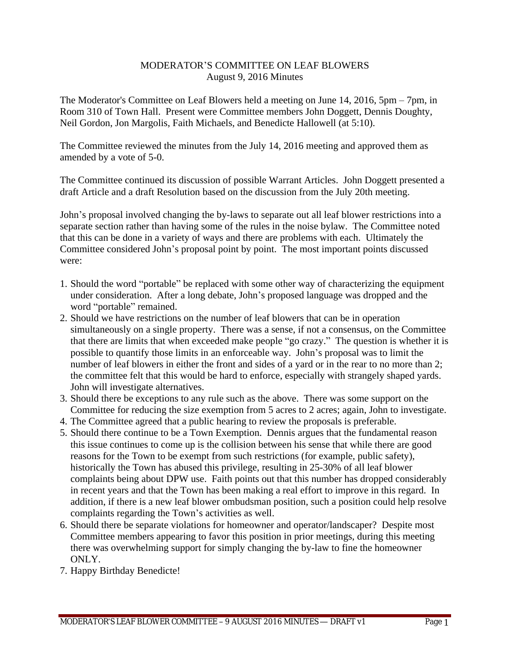## MODERATOR'S COMMITTEE ON LEAF BLOWERS August 9, 2016 Minutes

The Moderator's Committee on Leaf Blowers held a meeting on June 14, 2016, 5pm – 7pm, in Room 310 of Town Hall. Present were Committee members John Doggett, Dennis Doughty, Neil Gordon, Jon Margolis, Faith Michaels, and Benedicte Hallowell (at 5:10).

The Committee reviewed the minutes from the July 14, 2016 meeting and approved them as amended by a vote of 5-0.

The Committee continued its discussion of possible Warrant Articles. John Doggett presented a draft Article and a draft Resolution based on the discussion from the July 20th meeting.

John's proposal involved changing the by-laws to separate out all leaf blower restrictions into a separate section rather than having some of the rules in the noise bylaw. The Committee noted that this can be done in a variety of ways and there are problems with each. Ultimately the Committee considered John's proposal point by point. The most important points discussed were:

- 1. Should the word "portable" be replaced with some other way of characterizing the equipment under consideration. After a long debate, John's proposed language was dropped and the word "portable" remained.
- 2. Should we have restrictions on the number of leaf blowers that can be in operation simultaneously on a single property. There was a sense, if not a consensus, on the Committee that there are limits that when exceeded make people "go crazy." The question is whether it is possible to quantify those limits in an enforceable way. John's proposal was to limit the number of leaf blowers in either the front and sides of a yard or in the rear to no more than 2; the committee felt that this would be hard to enforce, especially with strangely shaped yards. John will investigate alternatives.
- 3. Should there be exceptions to any rule such as the above. There was some support on the Committee for reducing the size exemption from 5 acres to 2 acres; again, John to investigate.
- 4. The Committee agreed that a public hearing to review the proposals is preferable.
- 5. Should there continue to be a Town Exemption. Dennis argues that the fundamental reason this issue continues to come up is the collision between his sense that while there are good reasons for the Town to be exempt from such restrictions (for example, public safety), historically the Town has abused this privilege, resulting in 25-30% of all leaf blower complaints being about DPW use. Faith points out that this number has dropped considerably in recent years and that the Town has been making a real effort to improve in this regard. In addition, if there is a new leaf blower ombudsman position, such a position could help resolve complaints regarding the Town's activities as well.
- 6. Should there be separate violations for homeowner and operator/landscaper? Despite most Committee members appearing to favor this position in prior meetings, during this meeting there was overwhelming support for simply changing the by-law to fine the homeowner ONLY.
- 7. Happy Birthday Benedicte!